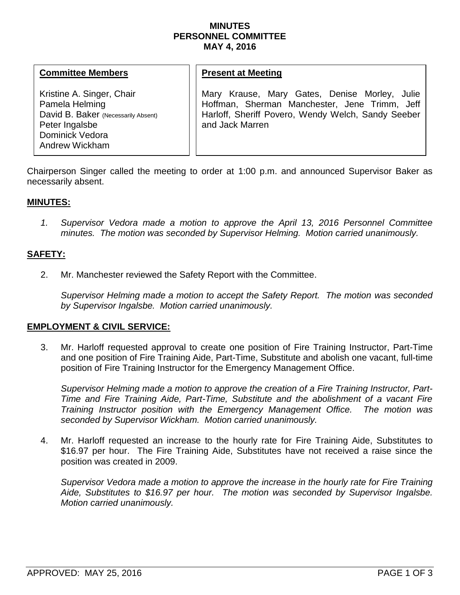### **MINUTES PERSONNEL COMMITTEE MAY 4, 2016**

#### **Committee Members**

Kristine A. Singer, Chair Pamela Helming David B. Baker (Necessarily Absent) Peter Ingalsbe Dominick Vedora Andrew Wickham

#### **Present at Meeting**

Mary Krause, Mary Gates, Denise Morley, Julie Hoffman, Sherman Manchester, Jene Trimm, Jeff Harloff, Sheriff Povero, Wendy Welch, Sandy Seeber and Jack Marren

Chairperson Singer called the meeting to order at 1:00 p.m. and announced Supervisor Baker as necessarily absent.

# **MINUTES:**

*1. Supervisor Vedora made a motion to approve the April 13, 2016 Personnel Committee minutes. The motion was seconded by Supervisor Helming. Motion carried unanimously.*

# **SAFETY:**

2. Mr. Manchester reviewed the Safety Report with the Committee.

*Supervisor Helming made a motion to accept the Safety Report. The motion was seconded by Supervisor Ingalsbe. Motion carried unanimously.* 

## **EMPLOYMENT & CIVIL SERVICE:**

3. Mr. Harloff requested approval to create one position of Fire Training Instructor, Part-Time and one position of Fire Training Aide, Part-Time, Substitute and abolish one vacant, full-time position of Fire Training Instructor for the Emergency Management Office.

*Supervisor Helming made a motion to approve the creation of a Fire Training Instructor, Part-Time and Fire Training Aide, Part-Time, Substitute and the abolishment of a vacant Fire Training Instructor position with the Emergency Management Office. The motion was seconded by Supervisor Wickham. Motion carried unanimously.*

4. Mr. Harloff requested an increase to the hourly rate for Fire Training Aide, Substitutes to \$16.97 per hour. The Fire Training Aide, Substitutes have not received a raise since the position was created in 2009.

*Supervisor Vedora made a motion to approve the increase in the hourly rate for Fire Training Aide, Substitutes to \$16.97 per hour. The motion was seconded by Supervisor Ingalsbe. Motion carried unanimously.*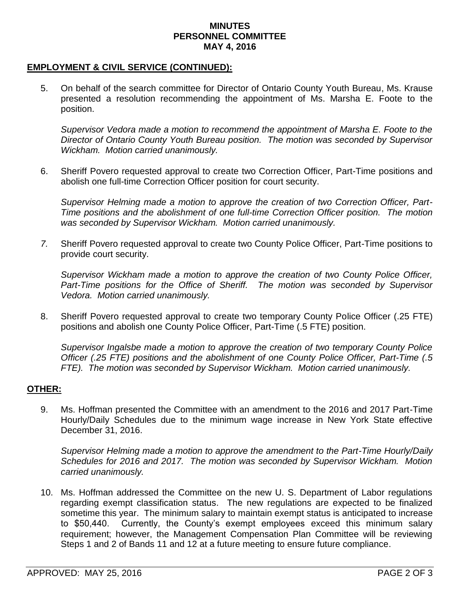#### **MINUTES PERSONNEL COMMITTEE MAY 4, 2016**

# **EMPLOYMENT & CIVIL SERVICE (CONTINUED):**

5. On behalf of the search committee for Director of Ontario County Youth Bureau, Ms. Krause presented a resolution recommending the appointment of Ms. Marsha E. Foote to the position.

*Supervisor Vedora made a motion to recommend the appointment of Marsha E. Foote to the Director of Ontario County Youth Bureau position. The motion was seconded by Supervisor Wickham. Motion carried unanimously.*

6. Sheriff Povero requested approval to create two Correction Officer, Part-Time positions and abolish one full-time Correction Officer position for court security.

*Supervisor Helming made a motion to approve the creation of two Correction Officer, Part-Time positions and the abolishment of one full-time Correction Officer position. The motion was seconded by Supervisor Wickham. Motion carried unanimously.*

*7.* Sheriff Povero requested approval to create two County Police Officer, Part-Time positions to provide court security.

*Supervisor Wickham made a motion to approve the creation of two County Police Officer, Part-Time positions for the Office of Sheriff. The motion was seconded by Supervisor Vedora. Motion carried unanimously.* 

8. Sheriff Povero requested approval to create two temporary County Police Officer (.25 FTE) positions and abolish one County Police Officer, Part-Time (.5 FTE) position.

*Supervisor Ingalsbe made a motion to approve the creation of two temporary County Police Officer (.25 FTE) positions and the abolishment of one County Police Officer, Part-Time (.5 FTE). The motion was seconded by Supervisor Wickham. Motion carried unanimously.*

## **OTHER:**

9. Ms. Hoffman presented the Committee with an amendment to the 2016 and 2017 Part-Time Hourly/Daily Schedules due to the minimum wage increase in New York State effective December 31, 2016.

*Supervisor Helming made a motion to approve the amendment to the Part-Time Hourly/Daily Schedules for 2016 and 2017. The motion was seconded by Supervisor Wickham. Motion carried unanimously.*

10. Ms. Hoffman addressed the Committee on the new U. S. Department of Labor regulations regarding exempt classification status. The new regulations are expected to be finalized sometime this year. The minimum salary to maintain exempt status is anticipated to increase to \$50,440. Currently, the County's exempt employees exceed this minimum salary requirement; however, the Management Compensation Plan Committee will be reviewing Steps 1 and 2 of Bands 11 and 12 at a future meeting to ensure future compliance.